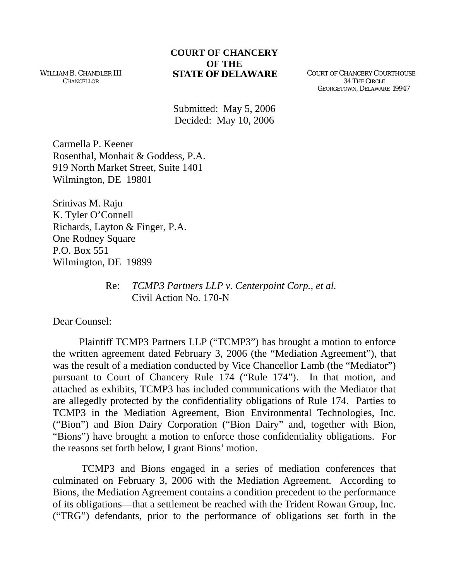## **COURT OF CHANCERY OF THE STATE OF DELAWARE** COURT OF CHANCERY COURTHOUSE

WILLIAM B. CHANDLER III **CHANCELLOR** 

 34 THE CIRCLE GEORGETOWN, DELAWARE 19947

Submitted: May 5, 2006 Decided: May 10, 2006

Carmella P. Keener Rosenthal, Monhait & Goddess, P.A. 919 North Market Street, Suite 1401 Wilmington, DE 19801

Srinivas M. Raju K. Tyler O'Connell Richards, Layton & Finger, P.A. One Rodney Square P.O. Box 551 Wilmington, DE 19899

> Re: *TCMP3 Partners LLP v. Centerpoint Corp., et al.*  Civil Action No. 170-N

Dear Counsel:

Plaintiff TCMP3 Partners LLP ("TCMP3") has brought a motion to enforce the written agreement dated February 3, 2006 (the "Mediation Agreement"), that was the result of a mediation conducted by Vice Chancellor Lamb (the "Mediator") pursuant to Court of Chancery Rule 174 ("Rule 174"). In that motion, and attached as exhibits, TCMP3 has included communications with the Mediator that are allegedly protected by the confidentiality obligations of Rule 174. Parties to TCMP3 in the Mediation Agreement, Bion Environmental Technologies, Inc. ("Bion") and Bion Dairy Corporation ("Bion Dairy" and, together with Bion, "Bions") have brought a motion to enforce those confidentiality obligations. For the reasons set forth below, I grant Bions' motion.

 TCMP3 and Bions engaged in a series of mediation conferences that culminated on February 3, 2006 with the Mediation Agreement. According to Bions, the Mediation Agreement contains a condition precedent to the performance of its obligations—that a settlement be reached with the Trident Rowan Group, Inc. ("TRG") defendants, prior to the performance of obligations set forth in the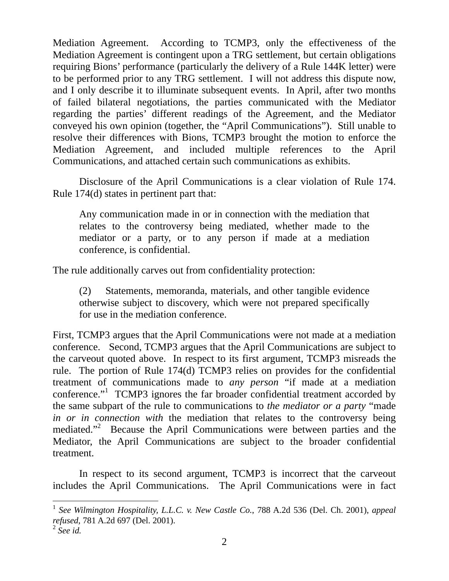Mediation Agreement. According to TCMP3, only the effectiveness of the Mediation Agreement is contingent upon a TRG settlement, but certain obligations requiring Bions' performance (particularly the delivery of a Rule 144K letter) were to be performed prior to any TRG settlement. I will not address this dispute now, and I only describe it to illuminate subsequent events. In April, after two months of failed bilateral negotiations, the parties communicated with the Mediator regarding the parties' different readings of the Agreement, and the Mediator conveyed his own opinion (together, the "April Communications"). Still unable to resolve their differences with Bions, TCMP3 brought the motion to enforce the Mediation Agreement, and included multiple references to the April Communications, and attached certain such communications as exhibits.

Disclosure of the April Communications is a clear violation of Rule 174. Rule 174(d) states in pertinent part that:

Any communication made in or in connection with the mediation that relates to the controversy being mediated, whether made to the mediator or a party, or to any person if made at a mediation conference, is confidential.

The rule additionally carves out from confidentiality protection:

(2) Statements, memoranda, materials, and other tangible evidence otherwise subject to discovery, which were not prepared specifically for use in the mediation conference.

First, TCMP3 argues that the April Communications were not made at a mediation conference. Second, TCMP3 argues that the April Communications are subject to the carveout quoted above. In respect to its first argument, TCMP3 misreads the rule. The portion of Rule 174(d) TCMP3 relies on provides for the confidential treatment of communications made to *any person* "if made at a mediation conference."<sup>[1](#page-1-0)</sup> TCMP3 ignores the far broader confidential treatment accorded by the same subpart of the rule to communications to *the mediator or a party* "made *in or in connection with* the mediation that relates to the controversy being mediated."<sup>2</sup> Because the April Communications were between parties and the Mediator, the April Communications are subject to the broader confidential treatment.

 In respect to its second argument, TCMP3 is incorrect that the carveout includes the April Communications. The April Communications were in fact

 $\overline{a}$ 

<span id="page-1-0"></span><sup>1</sup> *See Wilmington Hospitality, L.L.C. v. New Castle Co.*, 788 A.2d 536 (Del. Ch. 2001), *appeal refused*, 781 A.2d 697 (Del. 2001).

<span id="page-1-1"></span><sup>2</sup> *See id.*